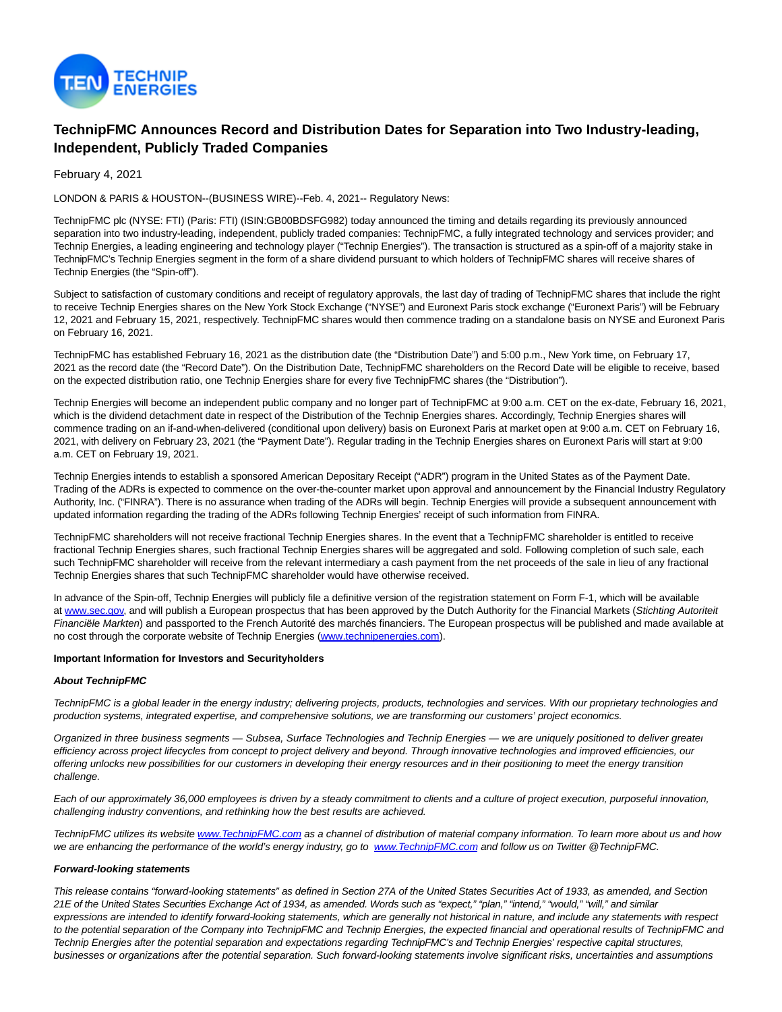

# **TechnipFMC Announces Record and Distribution Dates for Separation into Two Industry-leading, Independent, Publicly Traded Companies**

February 4, 2021

LONDON & PARIS & HOUSTON--(BUSINESS WIRE)--Feb. 4, 2021-- Regulatory News:

TechnipFMC plc (NYSE: FTI) (Paris: FTI) (ISIN:GB00BDSFG982) today announced the timing and details regarding its previously announced separation into two industry-leading, independent, publicly traded companies: TechnipFMC, a fully integrated technology and services provider; and Technip Energies, a leading engineering and technology player ("Technip Energies"). The transaction is structured as a spin-off of a majority stake in TechnipFMC's Technip Energies segment in the form of a share dividend pursuant to which holders of TechnipFMC shares will receive shares of Technip Energies (the "Spin-off").

Subject to satisfaction of customary conditions and receipt of regulatory approvals, the last day of trading of TechnipFMC shares that include the right to receive Technip Energies shares on the New York Stock Exchange ("NYSE") and Euronext Paris stock exchange ("Euronext Paris") will be February 12, 2021 and February 15, 2021, respectively. TechnipFMC shares would then commence trading on a standalone basis on NYSE and Euronext Paris on February 16, 2021.

TechnipFMC has established February 16, 2021 as the distribution date (the "Distribution Date") and 5:00 p.m., New York time, on February 17, 2021 as the record date (the "Record Date"). On the Distribution Date, TechnipFMC shareholders on the Record Date will be eligible to receive, based on the expected distribution ratio, one Technip Energies share for every five TechnipFMC shares (the "Distribution").

Technip Energies will become an independent public company and no longer part of TechnipFMC at 9:00 a.m. CET on the ex-date, February 16, 2021, which is the dividend detachment date in respect of the Distribution of the Technip Energies shares. Accordingly, Technip Energies shares will commence trading on an if-and-when-delivered (conditional upon delivery) basis on Euronext Paris at market open at 9:00 a.m. CET on February 16, 2021, with delivery on February 23, 2021 (the "Payment Date"). Regular trading in the Technip Energies shares on Euronext Paris will start at 9:00 a.m. CET on February 19, 2021.

Technip Energies intends to establish a sponsored American Depositary Receipt ("ADR") program in the United States as of the Payment Date. Trading of the ADRs is expected to commence on the over-the-counter market upon approval and announcement by the Financial Industry Regulatory Authority, Inc. ("FINRA"). There is no assurance when trading of the ADRs will begin. Technip Energies will provide a subsequent announcement with updated information regarding the trading of the ADRs following Technip Energies' receipt of such information from FINRA.

TechnipFMC shareholders will not receive fractional Technip Energies shares. In the event that a TechnipFMC shareholder is entitled to receive fractional Technip Energies shares, such fractional Technip Energies shares will be aggregated and sold. Following completion of such sale, each such TechnipFMC shareholder will receive from the relevant intermediary a cash payment from the net proceeds of the sale in lieu of any fractional Technip Energies shares that such TechnipFMC shareholder would have otherwise received.

In advance of the Spin-off, Technip Energies will publicly file a definitive version of the registration statement on Form F-1, which will be available at [www.sec.gov,](https://cts.businesswire.com/ct/CT?id=smartlink&url=http%3A%2F%2Fwww.sec.gov&esheet=52373716&newsitemid=20210203006026&lan=en-US&anchor=www.sec.gov&index=1&md5=5a5581d9da289f9bb3fcb4009ae83c8b) and will publish a European prospectus that has been approved by the Dutch Authority for the Financial Markets (Stichting Autoriteit Financiële Markten) and passported to the French Autorité des marchés financiers. The European prospectus will be published and made available at no cost through the corporate website of Technip Energies [\(www.technipenergies.com\).](https://cts.businesswire.com/ct/CT?id=smartlink&url=http%3A%2F%2Fwww.technipenergies.com&esheet=52373716&newsitemid=20210203006026&lan=en-US&anchor=www.technipenergies.com&index=2&md5=ee5a98b2a53019960d6ab5f3110365ac)

## **Important Information for Investors and Securityholders**

## **About TechnipFMC**

TechnipFMC is a global leader in the energy industry; delivering projects, products, technologies and services. With our proprietary technologies and production systems, integrated expertise, and comprehensive solutions, we are transforming our customers' project economics.

Organized in three business segments — Subsea, Surface Technologies and Technip Energies — we are uniquely positioned to deliver greater efficiency across project lifecycles from concept to project delivery and beyond. Through innovative technologies and improved efficiencies, our offering unlocks new possibilities for our customers in developing their energy resources and in their positioning to meet the energy transition challenge.

Each of our approximately 36,000 employees is driven by a steady commitment to clients and a culture of project execution, purposeful innovation, challenging industry conventions, and rethinking how the best results are achieved.

TechnipFMC utilizes its website [www.TechnipFMC.com a](https://cts.businesswire.com/ct/CT?id=smartlink&url=http%3A%2F%2Fwww.TechnipFMC.com&esheet=52373716&newsitemid=20210203006026&lan=en-US&anchor=www.TechnipFMC.com&index=3&md5=dae99b045748d5979e76ca8749e13668)s a channel of distribution of material company information. To learn more about us and how we are enhancing the performance of the world's energy industry, go to [www.TechnipFMC.com a](https://cts.businesswire.com/ct/CT?id=smartlink&url=http%3A%2F%2Fwww.TechnipFMC.com&esheet=52373716&newsitemid=20210203006026&lan=en-US&anchor=www.TechnipFMC.com&index=4&md5=5e87b06d70905ec8b1efb286279b8e13)nd follow us on Twitter @TechnipFMC.

## **Forward-looking statements**

This release contains "forward-looking statements" as defined in Section 27A of the United States Securities Act of 1933, as amended, and Section 21E of the United States Securities Exchange Act of 1934, as amended. Words such as "expect," "plan," "intend," "would," "will," and similar expressions are intended to identify forward-looking statements, which are generally not historical in nature, and include any statements with respect to the potential separation of the Company into TechnipFMC and Technip Energies, the expected financial and operational results of TechnipFMC and Technip Energies after the potential separation and expectations regarding TechnipFMC's and Technip Energies' respective capital structures, businesses or organizations after the potential separation. Such forward-looking statements involve significant risks, uncertainties and assumptions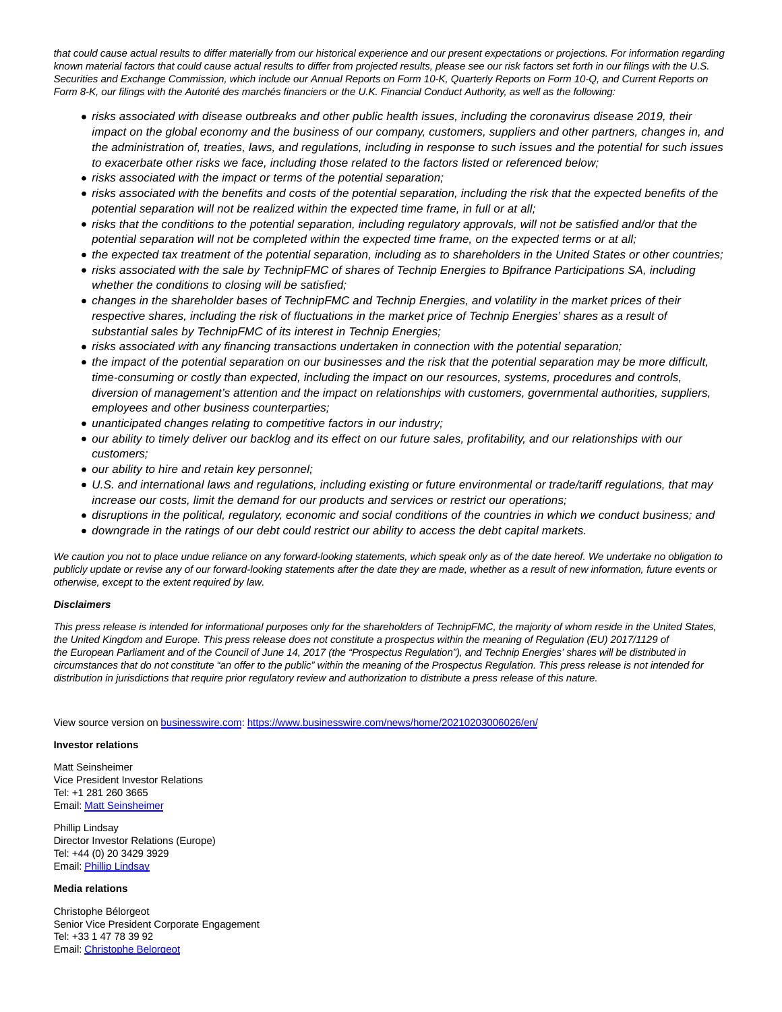that could cause actual results to differ materially from our historical experience and our present expectations or projections. For information regarding known material factors that could cause actual results to differ from projected results, please see our risk factors set forth in our filings with the U.S. Securities and Exchange Commission, which include our Annual Reports on Form 10-K, Quarterly Reports on Form 10-Q, and Current Reports on Form 8-K, our filings with the Autorité des marchés financiers or the U.K. Financial Conduct Authority, as well as the following:

- risks associated with disease outbreaks and other public health issues, including the coronavirus disease 2019, their impact on the global economy and the business of our company, customers, suppliers and other partners, changes in, and the administration of, treaties, laws, and regulations, including in response to such issues and the potential for such issues to exacerbate other risks we face, including those related to the factors listed or referenced below;
- risks associated with the impact or terms of the potential separation;
- risks associated with the benefits and costs of the potential separation, including the risk that the expected benefits of the potential separation will not be realized within the expected time frame, in full or at all;
- risks that the conditions to the potential separation, including regulatory approvals, will not be satisfied and/or that the potential separation will not be completed within the expected time frame, on the expected terms or at all;
- the expected tax treatment of the potential separation, including as to shareholders in the United States or other countries;
- risks associated with the sale by TechnipFMC of shares of Technip Energies to Bpifrance Participations SA, including whether the conditions to closing will be satisfied;
- changes in the shareholder bases of TechnipFMC and Technip Energies, and volatility in the market prices of their respective shares, including the risk of fluctuations in the market price of Technip Energies' shares as a result of substantial sales by TechnipFMC of its interest in Technip Energies;
- risks associated with any financing transactions undertaken in connection with the potential separation;
- the impact of the potential separation on our businesses and the risk that the potential separation may be more difficult, time-consuming or costly than expected, including the impact on our resources, systems, procedures and controls, diversion of management's attention and the impact on relationships with customers, governmental authorities, suppliers, employees and other business counterparties;
- unanticipated changes relating to competitive factors in our industry;
- our ability to timely deliver our backlog and its effect on our future sales, profitability, and our relationships with our customers;
- our ability to hire and retain key personnel;
- U.S. and international laws and regulations, including existing or future environmental or trade/tariff regulations, that may increase our costs, limit the demand for our products and services or restrict our operations;
- disruptions in the political, regulatory, economic and social conditions of the countries in which we conduct business; and
- downgrade in the ratings of our debt could restrict our ability to access the debt capital markets.

We caution you not to place undue reliance on any forward-looking statements, which speak only as of the date hereof. We undertake no obligation to publicly update or revise any of our forward-looking statements after the date they are made, whether as a result of new information, future events or otherwise, except to the extent required by law.

## **Disclaimers**

This press release is intended for informational purposes only for the shareholders of TechnipFMC, the majority of whom reside in the United States, the United Kingdom and Europe. This press release does not constitute a prospectus within the meaning of Regulation (EU) 2017/1129 of the European Parliament and of the Council of June 14, 2017 (the "Prospectus Regulation"), and Technip Energies' shares will be distributed in circumstances that do not constitute "an offer to the public" within the meaning of the Prospectus Regulation. This press release is not intended for distribution in jurisdictions that require prior regulatory review and authorization to distribute a press release of this nature.

View source version on [businesswire.com:](http://businesswire.com/)<https://www.businesswire.com/news/home/20210203006026/en/>

### **Investor relations**

Matt Seinsheimer Vice President Investor Relations Tel: +1 281 260 3665 Email[: Matt Seinsheimer](mailto:investorrelations@technipfmc.com)

Phillip Lindsay Director Investor Relations (Europe) Tel: +44 (0) 20 3429 3929 Email[: Phillip Lindsay](mailto:investorrelations@technipfmc.com)

## **Media relations**

Christophe Bélorgeot Senior Vice President Corporate Engagement Tel: +33 1 47 78 39 92 Email[: Christophe Belorgeot](mailto:media@technipfmc.com)